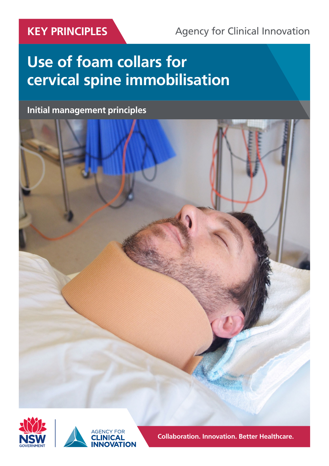# KEY PRINCIPLES Agency for Clinical Innovation

# **Use of foam collars for cervical spine immobilisation**

**Initial management principles**







**Collaboration. Innovation. Better Healthcare.**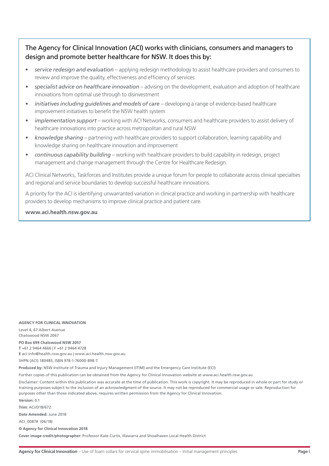#### The Agency for Clinical Innovation (ACI) works with clinicians, consumers and managers to design and promote better healthcare for NSW. It does this by:

- *service redesign and evaluation* applying redesign methodology to assist healthcare providers and consumers to review and improve the quality, effectiveness and efficiency of services
- *• specialist advice on healthcare innovation* advising on the development, evaluation and adoption of healthcare innovations from optimal use through to disinvestment
- *• initiatives including guidelines and models of care* developing a range of evidence-based healthcare improvement initiatives to benefit the NSW health system
- *• implementation support*  working with ACI Networks, consumers and healthcare providers to assist delivery of healthcare innovations into practice across metropolitan and rural NSW
- *• knowledge sharing* partnering with healthcare providers to support collaboration, learning capability and knowledge sharing on healthcare innovation and improvement
- *• continuous capability building* working with healthcare providers to build capability in redesign, project management and change management through the Centre for Healthcare Redesign.

ACI Clinical Networks, Taskforces and Institutes provide a unique forum for people to collaborate across clinical specialties and regional and service boundaries to develop successful healthcare innovations.

A priority for the ACI is identifying unwarranted variation in clinical practice and working in partnership with healthcare providers to develop mechanisms to improve clinical practice and patient care.

**www.aci.health.nsw.gov.au**

#### **AGENCY FOR CLINICAL INNOVATION**

Level 4, 67 Albert Avenue Chatswood NSW 2067

#### **PO Box 699 Chatswood NSW 2057**

**T** +61 2 9464 4666 | F +61 2 9464 4728 **E** aci-info@health.nsw.gov.au | www.aci.health.nsw.gov.au

SHPN (ACI) 180485, ISBN 978-1-76000-898-7.

**Produced by:** NSW Institute of Trauma and Injury Management (ITIM) and the Emergency Care Institute (ECI)

Further copies of this publication can be obtained from the Agency for Clinical Innovation website at *www.aci.health.nsw.gov.au*

Disclaimer: Content within this publication was accurate at the time of publication. This work is copyright. It may be reproduced in whole or part for study or training purposes subject to the inclusion of an acknowledgment of the source. It may not be reproduced for commercial usage or sale. Reproduction for purposes other than those indicated above, requires written permission from the Agency for Clinical Innovation.

**Version:** 0.1

**Trim:** ACI/D18/672 **Date Amended:** June 2018

ACI\_0087# (06/18)

**© Agency for Clinical Innovation 2018**

**Cover image credit/photographer:** Professor Kate Curtis, Illawarra and Shoalhaven Local Health District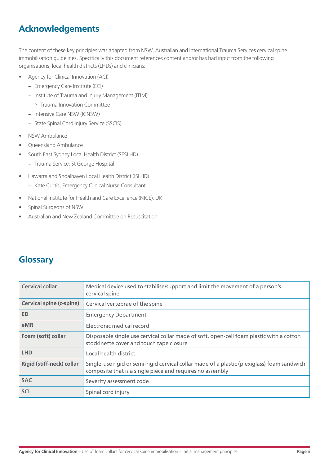## **Acknowledgements**

The content of these key principles was adapted from NSW, Australian and International Trauma Services cervical spine immobilisation guidelines. Specifically this document references content and/or has had input from the following organisations, local health districts (LHDs) and clinicians:

- Agency for Clinical Innovation (ACI)
	- − Emergency Care Institute (ECI)
	- − Institute of Trauma and Injury Management (ITIM)
	- º Trauma Innovation Committee
	- − Intensive Care NSW (ICNSW)
	- − State Spinal Cord Injury Service (SSCIS)
- NSW Ambulance
- Queensland Ambulance
- South East Sydney Local Health District (SESLHD)
	- − Trauma Service, St George Hospital
- Illawarra and Shoalhaven Local Health District (ISLHD)
	- − Kate Curtis, Emergency Clinical Nurse Consultant
- National Institute for Health and Care Excellence (NICE), UK
- Spinal Surgeons of NSW
- Australian and New Zealand Committee on Resuscitation.

### **Glossary**

| <b>Cervical collar</b>           | Medical device used to stabilise/support and limit the movement of a person's<br>cervical spine                                                          |
|----------------------------------|----------------------------------------------------------------------------------------------------------------------------------------------------------|
| <b>Cervical spine (c-spine)</b>  | Cervical vertebrae of the spine                                                                                                                          |
| <b>ED</b>                        | <b>Emergency Department</b>                                                                                                                              |
| eMR                              | Electronic medical record                                                                                                                                |
| Foam (soft) collar               | Disposable single use cervical collar made of soft, open-cell foam plastic with a cotton<br>stockinette cover and touch tape closure                     |
| <b>LHD</b>                       | Local health district                                                                                                                                    |
| <b>Rigid (stiff-neck) collar</b> | Single-use rigid or semi-rigid cervical collar made of a plastic (plexiglass) foam sandwich<br>composite that is a single piece and requires no assembly |
| <b>SAC</b>                       | Severity assessment code                                                                                                                                 |
| <b>SCI</b>                       | Spinal cord injury                                                                                                                                       |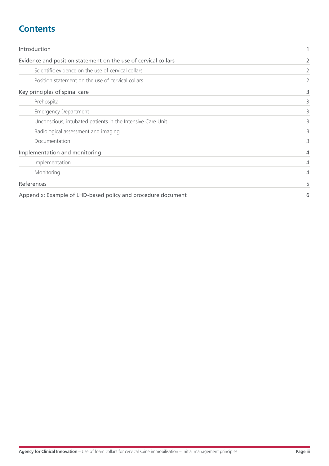### **Contents**

| Introduction<br>Evidence and position statement on the use of cervical collars |                       |
|--------------------------------------------------------------------------------|-----------------------|
|                                                                                |                       |
| Position statement on the use of cervical collars                              | $\mathbf{2}^{\prime}$ |
| Key principles of spinal care                                                  |                       |
| Prehospital                                                                    | 3                     |
| <b>Emergency Department</b>                                                    | 3                     |
| Unconscious, intubated patients in the Intensive Care Unit                     | 3                     |
| Radiological assessment and imaging                                            | 3                     |
| Documentation                                                                  | 3                     |
| Implementation and monitoring                                                  |                       |
| Implementation                                                                 | 4                     |
| Monitoring                                                                     | 4                     |
| References                                                                     | 5                     |
| Appendix: Example of LHD-based policy and procedure document                   | 6                     |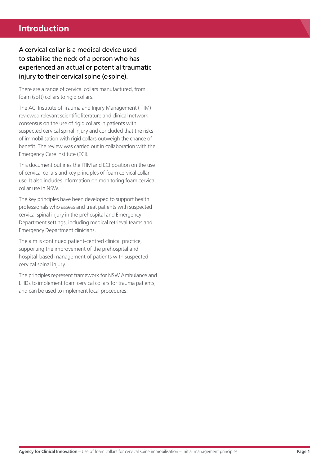### <span id="page-4-0"></span>**Introduction**

### A cervical collar is a medical device used to stabilise the neck of a person who has experienced an actual or potential traumatic injury to their cervical spine (c-spine).

There are a range of cervical collars manufactured, from foam (soft) collars to rigid collars.

The ACI Institute of Trauma and Injury Management (ITIM) reviewed relevant scientific literature and clinical network consensus on the use of rigid collars in patients with suspected cervical spinal injury and concluded that the risks of immobilisation with rigid collars outweigh the chance of benefit. The review was carried out in collaboration with the Emergency Care Institute (ECI).

This document outlines the ITIM and ECI position on the use of cervical collars and key principles of foam cervical collar use. It also includes information on monitoring foam cervical collar use in NSW.

The key principles have been developed to support health professionals who assess and treat patients with suspected cervical spinal injury in the prehospital and Emergency Department settings, including medical retrieval teams and Emergency Department clinicians.

The aim is continued patient-centred clinical practice, supporting the improvement of the prehospital and hospital-based management of patients with suspected cervical spinal injury.

The principles represent framework for NSW Ambulance and LHDs to implement foam cervical collars for trauma patients, and can be used to implement local procedures.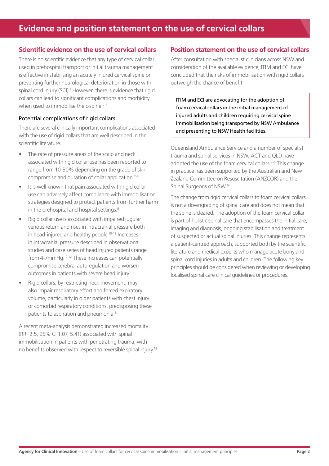#### <span id="page-5-0"></span>**Scientific evidence on the use of cervical collars**

There is no scientific evidence that any type of cervical collar used in prehospital transport or initial trauma management is effective in stabilising an acutely injured cervical spine or preventing further neurological deterioration in those with spinal cord injury (SCI).<sup>1</sup> However, there is evidence that rigid collars can lead to significant complications and morbidity when used to immobilise the c-spine.<sup>2-3</sup>

#### Potential complications of rigid collars

There are several clinically important complications associated with the use of rigid collars that are well described in the scientific literature.

- The rate of pressure areas of the scalp and neck associated with rigid collar use has been reported to range from 10-30% depending on the grade of skin compromise and duration of collar application.7-8
- It is well known that pain associated with rigid collar use can adversely affect compliance with immobilisation strategies designed to protect patients from further harm in the prehospital and hospital settings.<sup>9</sup>
- Rigid collar use is associated with impaired jugular venous return and rises in intracranial pressure both in head-injured and healthy people.10-12 Increases in intracranial pressure described in observational studies and case series of head injured patients range from 4-7mmHg.10-12 These increases can potentially compromise cerebral autoregulation and worsen outcomes in patients with severe head injury.
- Rigid collars, by restricting neck movement, may also impair respiratory effort and forced expiratory volume, particularly in older patients with chest injury or comorbid respiratory conditions, predisposing these patients to aspiration and pneumonia.<sup>8</sup>

A recent meta-analysis demonstrated increased mortality (RR=2.5, 95% CI 1.07, 5.41) associated with spinal immobilisation in patients with penetrating trauma, with no benefits observed with respect to reversible spinal injury.13

#### **Position statement on the use of cervical collars**

After consultation with specialist clinicians across NSW and consideration of the available evidence, ITIM and ECI have concluded that the risks of immobilisation with rigid collars outweigh the chance of benefit.

ITIM and ECI are advocating for the adoption of foam cervical collars in the initial management of injured adults and children requiring cervical spine immobilisation being transported by NSW Ambulance and presenting to NSW Health facilities.

Queensland Ambulance Service and a number of specialist trauma and spinal services in NSW, ACT and QLD have adopted the use of the foam cervical collars.<sup>4-5</sup> This change in practice has been supported by the Australian and New Zealand Committee on Resuscitation (ANZCOR) and the Spinal Surgeons of NSW.6

The change from rigid cervical collars to foam cervical collars is not a downgrading of spinal care and does not mean that the spine is cleared. The adoption of the foam cervical collar is part of holistic spinal care that encompasses the initial care, imaging and diagnosis, ongoing stabilisation and treatment of suspected or actual spinal injuries. This change represents a patient-centred approach, supported both by the scientific literature and medical experts who manage acute bony and spinal cord injuries in adults and children. The following key principles should be considered when reviewing or developing localised spinal care clinical guidelines or procedures.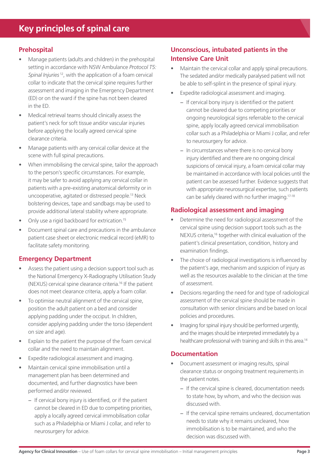#### <span id="page-6-0"></span>**Prehospital**

- Manage patients (adults and children) in the prehospital setting in accordance with NSW Ambulance *Protocol T5: Spinal Injuries* 12, with the application of a foam cervical collar to indicate that the cervical spine requires further assessment and imaging in the Emergency Department (ED) or on the ward if the spine has not been cleared in the ED.
- Medical retrieval teams should clinically assess the patient's neck for soft tissue and/or vascular injuries before applying the locally agreed cervical spine clearance criteria.
- Manage patients with any cervical collar device at the scene with full spinal precautions.
- When immobilising the cervical spine, tailor the approach to the person's specific circumstances. For example, it may be safer to avoid applying any cervical collar in patients with a pre-existing anatomical deformity or in uncooperative, agitated or distressed people.13 Neck bolstering devices, tape and sandbags may be used to provide additional lateral stability where appropriate.
- Only use a rigid backboard for extrication.<sup>15</sup>
- Document spinal care and precautions in the ambulance patient case sheet or electronic medical record (eMR) to facilitate safety monitoring.

#### **Emergency Department**

- Assess the patient using a decision support tool such as the National Emergency X-Radiography Utilisation Study (NEXUS) cervical spine clearance criteria.16 If the patient does not meet clearance criteria, apply a foam collar.
- To optimise neutral alignment of the cervical spine, position the adult patient on a bed and consider applying padding under the occiput. In children, consider applying padding under the torso (dependent on size and age).
- Explain to the patient the purpose of the foam cervical collar and the need to maintain alignment.
- Expedite radiological assessment and imaging.
- Maintain cervical spine immobilisation until a management plan has been determined and documented, and further diagnostics have been performed and/or reviewed.
	- − If cervical bony injury is identified, or if the patient cannot be cleared in ED due to competing priorities, apply a locally agreed cervical immobilisation collar such as a Philadelphia or Miami J collar, and refer to neurosurgery for advice.

### **Unconscious, intubated patients in the Intensive Care Unit**

- Maintain the cervical collar and apply spinal precautions. The sedated and/or medically paralysed patient will not be able to self-splint in the presence of spinal injury.
- Expedite radiological assessment and imaging.
	- − If cervical bony injury is identified or the patient cannot be cleared due to competing priorities or ongoing neurological signs referrable to the cervical spine, apply locally agreed cervical immobilisation collar such as a Philadelphia or Miami J collar, and refer to neurosurgery for advice.
	- − In circumstances where there is no cervical bony injury identified and there are no ongoing clinical suspicions of cervical injury, a foam cervical collar may be maintained in accordance with local policies until the patient can be assessed further. Evidence suggests that with appropriate neurosurgical expertise, such patients can be safely cleared with no further imaging.17-18

#### **Radiological assessment and imaging**

- Determine the need for radiological assessment of the cervical spine using decision support tools such as the NEXUS criteria,16 together with clinical evaluation of the patient's clinical presentation, condition, history and examination findings.
- The choice of radiological investigations is influenced by the patient's age, mechanism and suspicion of injury as well as the resources available to the clinician at the time of assessment.
- Decisions regarding the need for and type of radiological assessment of the cervical spine should be made in consultation with senior clinicians and be based on local policies and procedures.
- Imaging for spinal injury should be performed urgently, and the images should be interpreted immediately by a healthcare professional with training and skills in this area.<sup>14</sup>

#### **Documentation**

- Document assessment or imaging results, spinal clearance status or ongoing treatment requirements in the patient notes.
	- − If the cervical spine is cleared, documentation needs to state how, by whom, and who the decision was discussed with.
	- − If the cervical spine remains uncleared, documentation needs to state why it remains uncleared, how immobilisation is to be maintained, and who the decision was discussed with.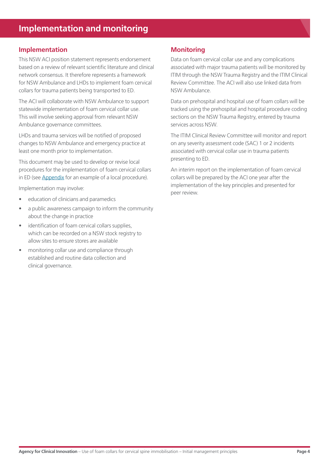#### <span id="page-7-0"></span>**Implementation**

This NSW ACI position statement represents endorsement based on a review of relevant scientific literature and clinical network consensus. It therefore represents a framework for NSW Ambulance and LHDs to implement foam cervical collars for trauma patients being transported to ED.

The ACI will collaborate with NSW Ambulance to support statewide implementation of foam cervical collar use. This will involve seeking approval from relevant NSW Ambulance governance committees.

LHDs and trauma services will be notified of proposed changes to NSW Ambulance and emergency practice at least one month prior to implementation.

This document may be used to develop or revise local procedures for the implementation of foam cervical collars in ED (see [Appendix](#page-9-0) for an example of a local procedure).

Implementation may involve:

- education of clinicians and paramedics
- a public awareness campaign to inform the community about the change in practice
- identification of foam cervical collars supplies, which can be recorded on a NSW stock registry to allow sites to ensure stores are available
- monitoring collar use and compliance through established and routine data collection and clinical governance.

#### **Monitoring**

Data on foam cervical collar use and any complications associated with major trauma patients will be monitored by ITIM through the NSW Trauma Registry and the ITIM Clinical Review Committee. The ACI will also use linked data from NSW Ambulance.

Data on prehospital and hospital use of foam collars will be tracked using the prehospital and hospital procedure coding sections on the NSW Trauma Registry, entered by trauma services across NSW.

The ITIM Clinical Review Committee will monitor and report on any severity assessment code (SAC) 1 or 2 incidents associated with cervical collar use in trauma patients presenting to ED.

An interim report on the implementation of foam cervical collars will be prepared by the ACI one year after the implementation of the key principles and presented for peer review.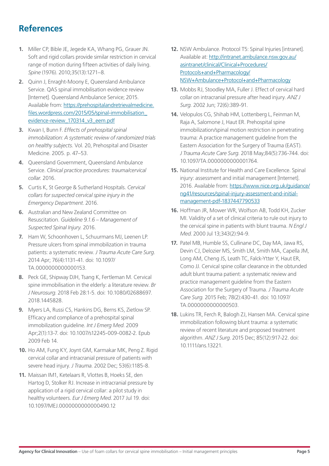### <span id="page-8-0"></span>**References**

- **1.** Miller CP, Bible JE, Jegede KA, Whang PG, Grauer JN. Soft and rigid collars provide similar restriction in cervical range of motion during fifteen activities of daily living. *Spine* (1976). 2010;35(13):1271–8.
- **2.** Quinn J, Enraght-Moony E, Queensland Ambulance Service. QAS spinal immobilisation evidence review [Internet]. Queensland Ambulance Service; 2015. Available from: [https://prehospitalandretrievalmedicine.](https://prehospitalandretrievalmedicine.files.wordpress.com/2015/05/spinal-immobilisation_evidence-review_170314_v3_eem.pdf) [files.wordpress.com/2015/05/spinal-immobilisation\\_](https://prehospitalandretrievalmedicine.files.wordpress.com/2015/05/spinal-immobilisation_evidence-review_170314_v3_eem.pdf) [evidence-review\\_170314\\_v3\\_eem.pdf](https://prehospitalandretrievalmedicine.files.wordpress.com/2015/05/spinal-immobilisation_evidence-review_170314_v3_eem.pdf)
- **3.** Kwan I, Bunn F. *Effects of prehospital spinal immobilization: A systematic review of randomized trials on healthy subjects.* Vol. 20, Prehospital and Disaster Medicine. 2005. p. 47–53.
- **4.** Queensland Government, Queensland Ambulance Service. *Clinical practice procedures: trauma/cervical collar.* 2016.
- **5.** Curtis K, St George & Sutherland Hospitals. *Cervical collars for suspected cervical spine injury in the Emergency Department*. 2016.
- **6.** Australian and New Zealand Committee on Resuscitation. *Guideline 9.1.6 – Management of Suspected Spinal Injury.* 2016.
- **7.** Ham W, Schoonhoven L, Schuurmans MJ, Leenen LP. Pressure ulcers from spinal immobilization in trauma patients: a systematic review. *J Trauma Acute Care Surg*. 2014 Apr; 76(4):1131-41. doi: 10.1097/ TA.0000000000000153.
- **8.** Peck GE, Shipway DJH, Tsang K, Fertleman M. Cervical spine immobilisation in the elderly: a literature review. *Br J Neurosurg*. 2018 Feb 28:1-5. doi: 10.1080/02688697. 2018.1445828.
- **9.** Myers LA, Russi CS, Hankins DG, Berns KS, Zietlow SP. Efficacy and compliance of a prehospital spinal immobilization guideline. *Int J Emerg Med*. 2009 Apr;2(1):13-7. doi: 10.1007/s12245-009-0082-2. Epub 2009 Feb 14.
- **10.** Ho AM, Fung KY, Joynt GM, Karmakar MK, Peng Z. Rigid cervical collar and intracranial pressure of patients with severe head injury. *J Trauma*. 2002 Dec; 53(6):1185-8.
- **11.** Maissan IM1, Ketelaars R, Vlottes B, Hoeks SE, den Hartog D, Stolker RJ. Increase in intracranial pressure by application of a rigid cervical collar: a pilot study in healthy volunteers. *Eur J Emerg Med*. 2017 Jul 19. doi: 10.1097/MEJ.0000000000000490.12
- **12.** NSW Ambulance. Protocol T5: Spinal Injuries [intranet]. Available at: [http://intranet.ambulance.nsw.gov.au/](http://intranet.ambulance.nsw.gov.au/asintranet/clinical/Clinical+Procedures/Protocols+and+Pharmacology/NSW+Ambulance+Protocol+and+Pharmacology) [asintranet/clinical/Clinical+Procedures/](http://intranet.ambulance.nsw.gov.au/asintranet/clinical/Clinical+Procedures/Protocols+and+Pharmacology/NSW+Ambulance+Protocol+and+Pharmacology) [Protocols+and+Pharmacology/](http://intranet.ambulance.nsw.gov.au/asintranet/clinical/Clinical+Procedures/Protocols+and+Pharmacology/NSW+Ambulance+Protocol+and+Pharmacology) [NSW+Ambulance+Protocol+and+Pharmacology](http://intranet.ambulance.nsw.gov.au/asintranet/clinical/Clinical+Procedures/Protocols+and+Pharmacology/NSW+Ambulance+Protocol+and+Pharmacology)
- **13.** Mobbs RJ, Stoodley MA, Fuller J. Effect of cervical hard collar on intracranial pressure after head injury. *ANZ J Surg.* 2002 Jun; 72(6):389-91.
- **14.** Velopulos CG, Shihab HM, Lottenberg L, Feinman M, Raja A, Salomone J, Haut ER. Prehospital spine immobilization/spinal motion restriction in penetrating trauma: A practice management guideline from the Eastern Association for the Surgery of Trauma (EAST). *J Trauma Acute Care Surg*. 2018 May;84(5):736-744. doi: 10.1097/TA.0000000000001764.
- **15.** National Institute for Health and Care Excellence. Spinal injury: assessment and initial management [Internet]. 2016. Available from: [https://www.nice.org.uk/guidance/](https://www.nice.org.uk/guidance/ng41/resources/spinal-injury-assessment-and-initial-management-pdf-1837447790533) [ng41/resources/spinal-injury-assessment-and-initial](https://www.nice.org.uk/guidance/ng41/resources/spinal-injury-assessment-and-initial-management-pdf-1837447790533)[management-pdf-1837447790533](https://www.nice.org.uk/guidance/ng41/resources/spinal-injury-assessment-and-initial-management-pdf-1837447790533)
- **16.** Hoffman JR, Mower WR, Wolfson AB, Todd KH, Zucker MI. Validity of a set of clinical criteria to rule out injury to the cervical spine in patients with blunt trauma. *N Engl J Med*. 2000 Jul 13;343(2):94-9.
- **17.** Patel MB, Humble SS, Cullinane DC, Day MA, Jawa RS, Devin CJ, Delozier MS, Smith LM, Smith MA, Capella JM, Long AM, Cheng JS, Leath TC, Falck-Ytter Y, Haut ER, Como JJ. Cervical spine collar clearance in the obtunded adult blunt trauma patient: a systematic review and practice management guideline from the Eastern Association for the Surgery of Trauma. *J Trauma Acute Care Surg*. 2015 Feb; 78(2):430-41. doi: 10.1097/ TA.0000000000000503.
- **18.** Lukins TR, Ferch R, Balogh ZJ, Hansen MA. Cervical spine immobilization following blunt trauma: a systematic review of recent literature and proposed treatment algorithm. *ANZ J Surg*. 2015 Dec; 85(12):917-22. doi: 10.1111/ans.13221.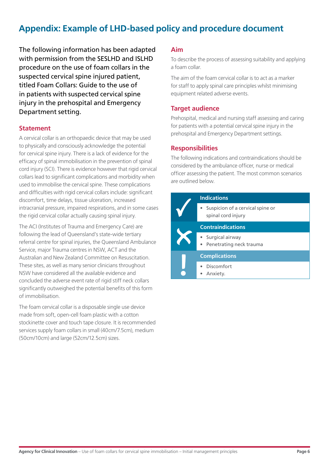### <span id="page-9-0"></span>**Appendix: Example of LHD-based policy and procedure document**

The following information has been adapted with permission from the SESLHD and ISLHD procedure on the use of foam collars in the suspected cervical spine injured patient, titled Foam Collars: Guide to the use of in patients with suspected cervical spine injury in the prehospital and Emergency Department setting.

#### **Statement**

A cervical collar is an orthopaedic device that may be used to physically and consciously acknowledge the potential for cervical spine injury. There is a lack of evidence for the efficacy of spinal immobilisation in the prevention of spinal cord injury (SCI). There is evidence however that rigid cervical collars lead to significant complications and morbidity when used to immobilise the cervical spine. These complications and difficulties with rigid cervical collars include: significant discomfort, time delays, tissue ulceration, increased intracranial pressure, impaired respirations, and in some cases the rigid cervical collar actually causing spinal injury.

The ACI (Institutes of Trauma and Emergency Care) are following the lead of Queensland's state-wide tertiary referral centre for spinal injuries, the Queensland Ambulance Service, major Trauma centres in NSW, ACT and the Australian and New Zealand Committee on Resuscitation. These sites, as well as many senior clinicians throughout NSW have considered all the available evidence and concluded the adverse event rate of rigid stiff neck collars significantly outweighed the potential benefits of this form of immobilisation.

The foam cervical collar is a disposable single use device made from soft, open-cell foam plastic with a cotton stockinette cover and touch tape closure. It is recommended services supply foam collars in small (40cm/7.5cm), medium (50cm/10cm) and large (52cm/12.5cm) sizes.

#### **Aim**

To describe the process of assessing suitability and applying a foam collar.

The aim of the foam cervical collar is to act as a marker for staff to apply spinal care principles whilst minimising equipment related adverse events.

#### **Target audience**

Prehospital, medical and nursing staff assessing and caring for patients with a potential cervical spine injury in the prehospital and Emergency Department settings.

#### **Responsibilities**

The following indications and contraindications should be considered by the ambulance officer, nurse or medical officer assessing the patient. The most common scenarios are outlined below.

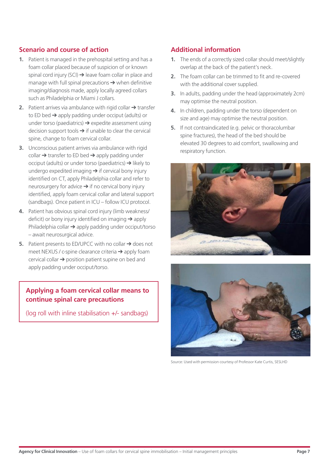#### **Scenario and course of action**

- **1.** Patient is managed in the prehospital setting and has a foam collar placed because of suspicion of or known spinal cord injury (SCI) → leave foam collar in place and manage with full spinal precautions  $\rightarrow$  when definitive imaging/diagnosis made, apply locally agreed collars such as Philadelphia or Miami J collars.
- **2.** Patient arrives via ambulance with rigid collar → transfer to ED bed  $\rightarrow$  apply padding under occiput (adults) or under torso (paediatrics)  $\rightarrow$  expedite assessment using decision support tools  $\rightarrow$  if unable to clear the cervical spine, change to foam cervical collar.
- **3.** Unconscious patient arrives via ambulance with rigid  $\text{collar} \rightarrow \text{transfer}$  to ED bed  $\rightarrow$  apply padding under occiput (adults) or under torso (paediatrics) ➔ likely to undergo expedited imaging  $\rightarrow$  if cervical bony injury identified on CT, apply Philadelphia collar and refer to neurosurgery for advice  $\rightarrow$  if no cervical bony injury identified, apply foam cervical collar and lateral support (sandbags). Once patient in ICU – follow ICU protocol.
- **4.** Patient has obvious spinal cord injury (limb weakness/ deficit) or bony injury identified on imaging  $\rightarrow$  apply Philadelphia collar ➔ apply padding under occiput/torso – await neurosurgical advice.
- **5.** Patient presents to ED/UPCC with no collar → does not meet NEXUS / c-spine clearance criteria ➔ apply foam cervical collar ➔ position patient supine on bed and apply padding under occiput/torso.

#### **Applying a foam cervical collar means to continue spinal care precautions**

(log roll with inline stabilisation +/- sandbags)

#### **Additional information**

- **1.** The ends of a correctly sized collar should meet/slightly overlap at the back of the patient's neck.
- **2.** The foam collar can be trimmed to fit and re-covered with the additional cover supplied.
- **3.** In adults, padding under the head (approximately 2cm) may optimise the neutral position.
- **4.** In children, padding under the torso (dependent on size and age) may optimise the neutral position.
- **5.** If not contraindicated (e.g. pelvic or thoracolumbar spine fractures), the head of the bed should be elevated 30 degrees to aid comfort, swallowing and respiratory function.





Source: Used with permission courtesy of Professor Kate Curtis, SESLHD